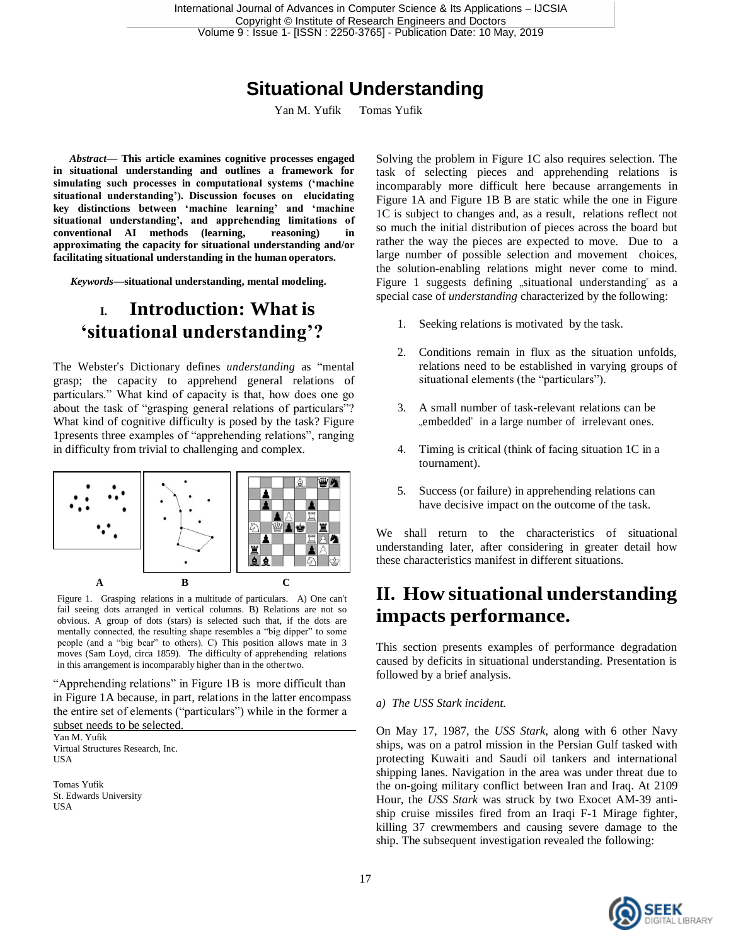# **Situational Understanding**

Yan M. Yufik Tomas Yufik

*Abstract***— This article examines cognitive processes engaged in situational understanding and outlines a framework for simulating such processes in computational systems ('machine situational understanding'). Discussion focuses on elucidating key distinctions between 'machine learning' and 'machine situational understanding', and apprehending limitations of conventional AI methods (learning, reasoning) in approximating the capacity for situational understanding and/or facilitating situational understanding in the human operators.**

*Keywords—***situational understanding, mental modeling.**

### **I. Introduction: What is 'situational understanding'?**

The Webster"s Dictionary defines *understanding* as "mental grasp; the capacity to apprehend general relations of particulars." What kind of capacity is that, how does one go about the task of "grasping general relations of particulars"? What kind of cognitive difficulty is posed by the task? Figure 1presents three examples of "apprehending relations", ranging in difficulty from trivial to challenging and complex.



Figure 1. Grasping relations in a multitude of particulars. A) One can"t fail seeing dots arranged in vertical columns. B) Relations are not so obvious. A group of dots (stars) is selected such that, if the dots are mentally connected, the resulting shape resembles a "big dipper" to some people (and a "big bear" to others). C) This position allows mate in 3 moves (Sam Loyd, circa 1859). The difficulty of apprehending relations in this arrangement is incomparably higher than in the othertwo.

"Apprehending relations" in Figure 1B is more difficult than in Figure 1A because, in part, relations in the latter encompass the entire set of elements ("particulars") while in the former a subset needs to be selected.

Yan M. Yufik Virtual Structures Research, Inc. **USA** 

Tomas Yufik St. Edwards University USA

Solving the problem in Figure 1C also requires selection. The task of selecting pieces and apprehending relations is incomparably more difficult here because arrangements in Figure 1A and Figure 1B B are static while the one in Figure 1C is subject to changes and, as a result, relations reflect not so much the initial distribution of pieces across the board but rather the way the pieces are expected to move. Due to a large number of possible selection and movement choices, the solution-enabling relations might never come to mind. Figure 1 suggests defining "situational understanding" as a special case of *understanding* characterized by the following:

- 1. Seeking relations is motivated by the task.
- 2. Conditions remain in flux as the situation unfolds, relations need to be established in varying groups of situational elements (the "particulars").
- 3. A small number of task-relevant relations can be "embedded" in a large number of irrelevant ones.
- 4. Timing is critical (think of facing situation 1C in a tournament).
- 5. Success (or failure) in apprehending relations can have decisive impact on the outcome of the task.

We shall return to the characteristics of situational understanding later, after considering in greater detail how these characteristics manifest in different situations.

### **II. How situational understanding impacts performance.**

This section presents examples of performance degradation caused by deficits in situational understanding. Presentation is followed by a brief analysis.

#### *a) The USS Stark incident.*

On May 17, 1987, the *USS Stark*, along with 6 other Navy ships, was on a patrol mission in the Persian Gulf tasked with protecting Kuwaiti and Saudi oil tankers and international shipping lanes. Navigation in the area was under threat due to the on-going military conflict between Iran and Iraq. At 2109 Hour, the *USS Stark* was struck by two Exocet AM-39 antiship cruise missiles fired from an Iraqi F-1 Mirage fighter, killing 37 crewmembers and causing severe damage to the ship. The subsequent investigation revealed the following:

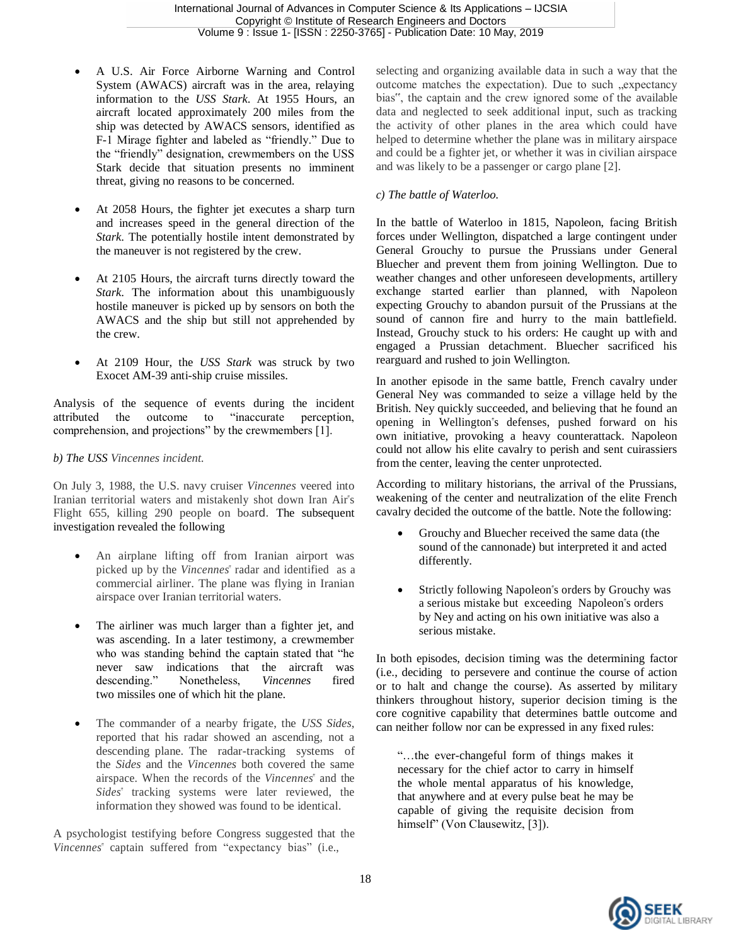- A U.S. Air Force Airborne Warning and Control System (AWACS) aircraft was in the area, relaying information to the *USS Stark*. At 1955 Hours, an aircraft located approximately 200 miles from the ship was detected by AWACS sensors, identified as F-1 Mirage fighter and labeled as "friendly." Due to the "friendly" designation, crewmembers on the USS Stark decide that situation presents no imminent threat, giving no reasons to be concerned.
- At 2058 Hours, the fighter jet executes a sharp turn and increases speed in the general direction of the *Stark*. The potentially hostile intent demonstrated by the maneuver is not registered by the crew.
- At 2105 Hours, the aircraft turns directly toward the *Stark*. The information about this unambiguously hostile maneuver is picked up by sensors on both the AWACS and the ship but still not apprehended by the crew.
- At 2109 Hour, the *USS Stark* was struck by two Exocet AM-39 anti-ship cruise missiles.

Analysis of the sequence of events during the incident attributed the outcome to "inaccurate perception, comprehension, and projections" by the crewmembers [1].

#### *b) The USS Vincennes incident.*

On July 3, 1988, the U.S. navy cruiser *Vincennes* veered into Iranian territorial waters and mistakenly shot down Iran Air"s Flight 655, killing 290 people on board. The subsequent investigation revealed the following

- An airplane lifting off from Iranian airport was picked up by the *Vincennes*" radar and identified as a commercial airliner. The plane was flying in Iranian airspace over Iranian territorial waters.
- The airliner was much larger than a fighter jet, and was ascending. In a later testimony, a crewmember who was standing behind the captain stated that "he never saw indications that the aircraft was descending." Nonetheless, *Vincennes* fired two [missiles o](https://en.wikipedia.org/wiki/Surface-to-air_missile)ne of which hit the plane.
- The commander of a nearby frigate, the *USS Sides*, reported that his radar showed an ascending, not a descending plane. The radar-tracking systems of the *Sides* and the *Vincennes* both covered the same airspace. When the records of the *Vincennes*" and the *Sides*" tracking systems were later reviewed, the information they showed was found to be identical.

A psychologist testifying before Congress suggested that the *Vincennes*" captain suffered from "expectancy bias" (i.e.,

selecting and organizing available data in such a way that the outcome matches the expectation). Due to such "expectancy bias", the captain and the crew ignored some of the available data and neglected to seek additional input, such as tracking the activity of other planes in the area which could have helped to determine whether the plane was in military airspace and could be a fighter jet, or whether it was in civilian airspace and was likely to be a passenger or cargo plane [2].

#### *c) The battle of Waterloo.*

In the battle of Waterloo in 1815, Napoleon, facing British forces under Wellington, dispatched a large contingent under General Grouchy to pursue the Prussians under General Bluecher and prevent them from joining Wellington. Due to weather changes and other unforeseen developments, artillery exchange started earlier than planned, with Napoleon expecting Grouchy to abandon pursuit of the Prussians at the sound of cannon fire and hurry to the main battlefield. Instead, Grouchy stuck to his orders: He caught up with and engaged a Prussian detachment. Bluecher sacrificed his rearguard and rushed to join Wellington.

In another episode in the same battle, French cavalry under General Ney was commanded to seize a village held by the British. Ney quickly succeeded, and believing that he found an opening in Wellington"s defenses, pushed forward on his own initiative, provoking a heavy counterattack. Napoleon could not allow his elite cavalry to perish and sent cuirassiers from the center, leaving the center unprotected.

According to military historians, the arrival of the Prussians, weakening of the center and neutralization of the elite French cavalry decided the outcome of the battle. Note the following:

- Grouchy and Bluecher received the same data (the sound of the cannonade) but interpreted it and acted differently.
- Strictly following Napoleon"s orders by Grouchy was a serious mistake but exceeding Napoleon"s orders by Ney and acting on his own initiative was also a serious mistake.

In both episodes, decision timing was the determining factor (i.e., deciding to persevere and continue the course of action or to halt and change the course). As asserted by military thinkers throughout history, superior decision timing is the core cognitive capability that determines battle outcome and can neither follow nor can be expressed in any fixed rules:

"…the ever-changeful form of things makes it necessary for the chief actor to carry in himself the whole mental apparatus of his knowledge, that anywhere and at every pulse beat he may be capable of giving the requisite decision from himself" (Von Clausewitz, [3]).

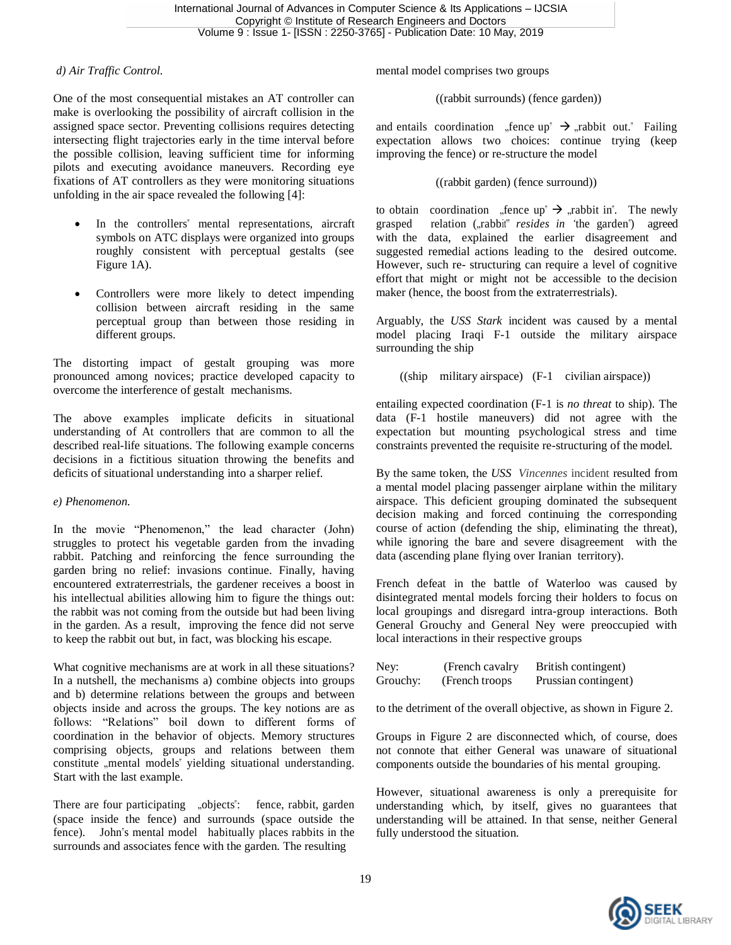#### *d) Air Traffic Control.*

One of the most consequential mistakes an AT controller can make is overlooking the possibility of aircraft collision in the assigned space sector. Preventing collisions requires detecting intersecting flight trajectories early in the time interval before the possible collision, leaving sufficient time for informing pilots and executing avoidance maneuvers. Recording eye fixations of AT controllers as they were monitoring situations unfolding in the air space revealed the following [4]:

- In the controllers" mental representations, aircraft symbols on ATC displays were organized into groups roughly consistent with perceptual gestalts (see Figure 1A).
- Controllers were more likely to detect impending collision between aircraft residing in the same perceptual group than between those residing in different groups.

The distorting impact of gestalt grouping was more pronounced among novices; practice developed capacity to overcome the interference of gestalt mechanisms.

The above examples implicate deficits in situational understanding of At controllers that are common to all the described real-life situations. The following example concerns decisions in a fictitious situation throwing the benefits and deficits of situational understanding into a sharper relief.

#### *e) Phenomenon.*

In the movie "Phenomenon," the lead character (John) struggles to protect his vegetable garden from the invading rabbit. Patching and reinforcing the fence surrounding the garden bring no relief: invasions continue. Finally, having encountered extraterrestrials, the gardener receives a boost in his intellectual abilities allowing him to figure the things out: the rabbit was not coming from the outside but had been living in the garden. As a result, improving the fence did not serve to keep the rabbit out but, in fact, was blocking his escape.

What cognitive mechanisms are at work in all these situations? In a nutshell, the mechanisms a) combine objects into groups and b) determine relations between the groups and between objects inside and across the groups. The key notions are as follows: "Relations" boil down to different forms of coordination in the behavior of objects. Memory structures comprising objects, groups and relations between them constitute "mental models" yielding situational understanding. Start with the last example.

There are four participating "objects": fence, rabbit, garden (space inside the fence) and surrounds (space outside the fence). John"s mental model habitually places rabbits in the surrounds and associates fence with the garden. The resulting

mental model comprises two groups

((rabbit surrounds) (fence garden))

and entails coordination "fence up"  $\rightarrow$  "rabbit out." Failing expectation allows two choices: continue trying (keep improving the fence) or re-structure the model

((rabbit garden) (fence surround))

to obtain coordination "fence  $up^* \rightarrow$  "rabbit in". The newly grasped relation ("rabbit" *resides* in 'the garden") agreed with the data, explained the earlier disagreement and suggested remedial actions leading to the desired outcome. However, such re- structuring can require a level of cognitive effort that might or might not be accessible to the decision maker (hence, the boost from the extraterrestrials).

Arguably, the *USS Stark* incident was caused by a mental model placing Iraqi F-1 outside the military airspace surrounding the ship

((ship military airspace) (F-1 civilian airspace))

entailing expected coordination (F-1 is *no threat* to ship). The data (F-1 hostile maneuvers) did not agree with the expectation but mounting psychological stress and time constraints prevented the requisite re-structuring of the model.

By the same token, the *USS Vincennes* incident resulted from a mental model placing passenger airplane within the military airspace. This deficient grouping dominated the subsequent decision making and forced continuing the corresponding course of action (defending the ship, eliminating the threat), while ignoring the bare and severe disagreement with the data (ascending plane flying over Iranian territory).

French defeat in the battle of Waterloo was caused by disintegrated mental models forcing their holders to focus on local groupings and disregard intra-group interactions. Both General Grouchy and General Ney were preoccupied with local interactions in their respective groups

| Ney:     | (French cavalry) | British contingent)  |
|----------|------------------|----------------------|
| Grouchy: | (French troops)  | Prussian contingent) |

to the detriment of the overall objective, as shown in Figure 2.

Groups in Figure 2 are disconnected which, of course, does not connote that either General was unaware of situational components outside the boundaries of his mental grouping.

However, situational awareness is only a prerequisite for understanding which, by itself, gives no guarantees that understanding will be attained. In that sense, neither General fully understood the situation.

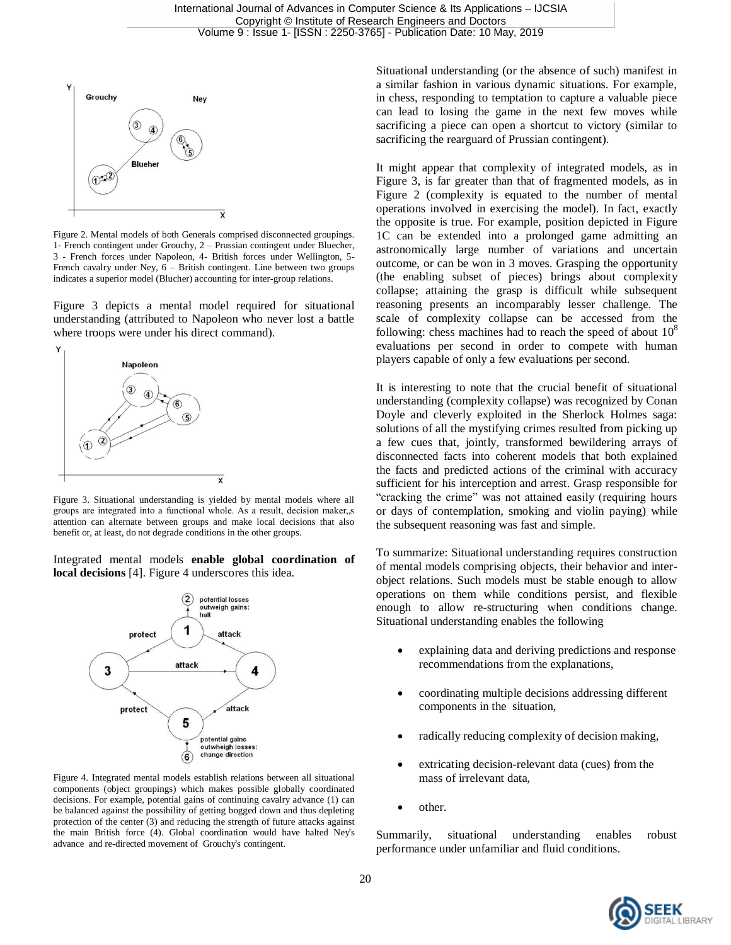

Figure 2. Mental models of both Generals comprised disconnected groupings. 1- French contingent under Grouchy, 2 – Prussian contingent under Bluecher, 3 - French forces under Napoleon, 4- British forces under Wellington, 5- French cavalry under Ney, 6 – British contingent. Line between two groups indicates a superior model (Blucher) accounting for inter-group relations.

Figure 3 depicts a mental model required for situational understanding (attributed to Napoleon who never lost a battle where troops were under his direct command).



Figure 3. Situational understanding is yielded by mental models where all groups are integrated into a functional whole. As a result, decision maker, s attention can alternate between groups and make local decisions that also benefit or, at least, do not degrade conditions in the other groups.

Integrated mental models **enable global coordination of local decisions** [4]. Figure 4 underscores this idea.



Figure 4. Integrated mental models establish relations between all situational components (object groupings) which makes possible globally coordinated decisions. For example, potential gains of continuing cavalry advance (1) can be balanced against the possibility of getting bogged down and thus depleting protection of the center (3) and reducing the strength of future attacks against the main British force (4). Global coordination would have halted Ney"s advance and re-directed movement of Grouchy"s contingent.

Situational understanding (or the absence of such) manifest in a similar fashion in various dynamic situations. For example, in chess, responding to temptation to capture a valuable piece can lead to losing the game in the next few moves while sacrificing a piece can open a shortcut to victory (similar to sacrificing the rearguard of Prussian contingent).

It might appear that complexity of integrated models, as in Figure 3, is far greater than that of fragmented models, as in Figure 2 (complexity is equated to the number of mental operations involved in exercising the model). In fact, exactly the opposite is true. For example, position depicted in Figure 1C can be extended into a prolonged game admitting an astronomically large number of variations and uncertain outcome, or can be won in 3 moves. Grasping the opportunity (the enabling subset of pieces) brings about complexity collapse; attaining the grasp is difficult while subsequent reasoning presents an incomparably lesser challenge. The scale of complexity collapse can be accessed from the following: chess machines had to reach the speed of about  $10<sup>8</sup>$ evaluations per second in order to compete with human players capable of only a few evaluations per second.

It is interesting to note that the crucial benefit of situational understanding (complexity collapse) was recognized by Conan Doyle and cleverly exploited in the Sherlock Holmes saga: solutions of all the mystifying crimes resulted from picking up a few cues that, jointly, transformed bewildering arrays of disconnected facts into coherent models that both explained the facts and predicted actions of the criminal with accuracy sufficient for his interception and arrest. Grasp responsible for "cracking the crime" was not attained easily (requiring hours or days of contemplation, smoking and violin paying) while the subsequent reasoning was fast and simple.

To summarize: Situational understanding requires construction of mental models comprising objects, their behavior and interobject relations. Such models must be stable enough to allow operations on them while conditions persist, and flexible enough to allow re-structuring when conditions change. Situational understanding enables the following

- explaining data and deriving predictions and response recommendations from the explanations,
- coordinating multiple decisions addressing different components in the situation,
- radically reducing complexity of decision making,
- extricating decision-relevant data (cues) from the mass of irrelevant data,
- other.

Summarily, situational understanding enables robust performance under unfamiliar and fluid conditions.

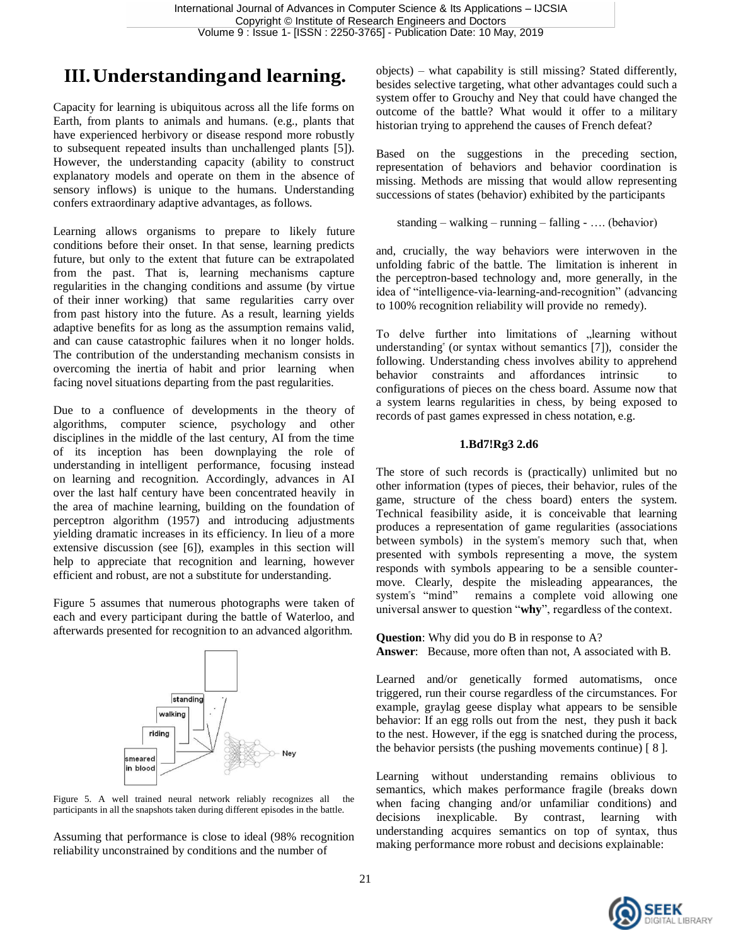## **III.Understandingand learning.**

Capacity for learning is ubiquitous across all the life forms on Earth, from plants to animals and humans. (e.g., plants that have experienced herbivory or disease respond more robustly to subsequent repeated insults than unchallenged plants [5]). However, the understanding capacity (ability to construct explanatory models and operate on them in the absence of sensory inflows) is unique to the humans. Understanding confers extraordinary adaptive advantages, as follows.

Learning allows organisms to prepare to likely future conditions before their onset. In that sense, learning predicts future, but only to the extent that future can be extrapolated from the past. That is, learning mechanisms capture regularities in the changing conditions and assume (by virtue of their inner working) that same regularities carry over from past history into the future. As a result, learning yields adaptive benefits for as long as the assumption remains valid, and can cause catastrophic failures when it no longer holds. The contribution of the understanding mechanism consists in overcoming the inertia of habit and prior learning when facing novel situations departing from the past regularities.

Due to a confluence of developments in the theory of algorithms, computer science, psychology and other disciplines in the middle of the last century, AI from the time of its inception has been downplaying the role of understanding in intelligent performance, focusing instead on learning and recognition. Accordingly, advances in AI over the last half century have been concentrated heavily in the area of machine learning, building on the foundation of perceptron algorithm (1957) and introducing adjustments yielding dramatic increases in its efficiency. In lieu of a more extensive discussion (see [6]), examples in this section will help to appreciate that recognition and learning, however efficient and robust, are not a substitute for understanding.

Figure 5 assumes that numerous photographs were taken of each and every participant during the battle of Waterloo, and afterwards presented for recognition to an advanced algorithm.



Figure 5. A well trained neural network reliably recognizes all the participants in all the snapshots taken during different episodes in the battle.

Assuming that performance is close to ideal (98% recognition reliability unconstrained by conditions and the number of

objects) – what capability is still missing? Stated differently, besides selective targeting, what other advantages could such a system offer to Grouchy and Ney that could have changed the outcome of the battle? What would it offer to a military historian trying to apprehend the causes of French defeat?

Based on the suggestions in the preceding section, representation of behaviors and behavior coordination is missing. Methods are missing that would allow representing successions of states (behavior) exhibited by the participants

```
standing – walking – running – falling - …. (behavior)
```
and, crucially, the way behaviors were interwoven in the unfolding fabric of the battle. The limitation is inherent in the perceptron-based technology and, more generally, in the idea of "intelligence-via-learning-and-recognition" (advancing to 100% recognition reliability will provide no remedy).

To delve further into limitations of "learning without understanding" (or syntax without semantics [7]), consider the following. Understanding chess involves ability to apprehend behavior constraints and affordances intrinsic to configurations of pieces on the chess board. Assume now that a system learns regularities in chess, by being exposed to records of past games expressed in chess notation, e.g.

#### **1.Bd7!Rg3 2.d6**

The store of such records is (practically) unlimited but no other information (types of pieces, their behavior, rules of the game, structure of the chess board) enters the system. Technical feasibility aside, it is conceivable that learning produces a representation of game regularities (associations between symbols) in the system"s memory such that, when presented with symbols representing a move, the system responds with symbols appearing to be a sensible countermove. Clearly, despite the misleading appearances, the system"s "mind" remains a complete void allowing one universal answer to question "**why**", regardless of the context.

**Question**: Why did you do B in response to A? **Answer**: Because, more often than not, A associated with B.

Learned and/or genetically formed automatisms, once triggered, run their course regardless of the circumstances. For example, graylag geese display what appears to be sensible behavior: If an egg rolls out from the nest, they push it back to the nest. However, if the egg is snatched during the process, the behavior persists (the pushing movements continue) [ 8 ].

Learning without understanding remains oblivious to semantics, which makes performance fragile (breaks down when facing changing and/or unfamiliar conditions) and decisions inexplicable. By contrast, learning with understanding acquires semantics on top of syntax, thus making performance more robust and decisions explainable:

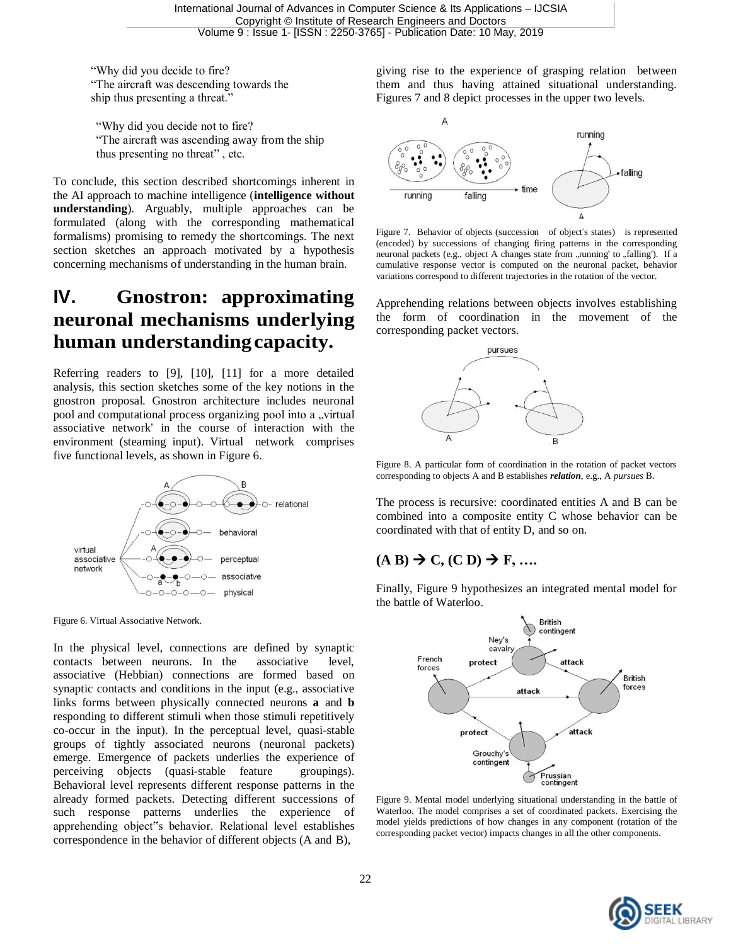"Why did you decide to fire? "The aircraft was descending towards the ship thus presenting a threat."

"Why did you decide not to fire? "The aircraft was ascending away from the ship thus presenting no threat" , etc.

To conclude, this section described shortcomings inherent in the AI approach to machine intelligence (**intelligence without understanding**). Arguably, multiple approaches can be formulated (along with the corresponding mathematical formalisms) promising to remedy the shortcomings. The next section sketches an approach motivated by a hypothesis concerning mechanisms of understanding in the human brain.

# **IV. Gnostron: approximating neuronal mechanisms underlying human understandingcapacity.**

Referring readers to [9], [10], [11] for a more detailed analysis, this section sketches some of the key notions in the gnostron proposal. Gnostron architecture includes neuronal pool and computational process organizing pool into a "virtual associative network" in the course of interaction with the environment (steaming input). Virtual network comprises five functional levels, as shown in Figure 6.



Figure 6. Virtual Associative Network.

In the physical level, connections are defined by synaptic contacts between neurons. In the associative level, associative (Hebbian) connections are formed based on synaptic contacts and conditions in the input (e.g., associative links forms between physically connected neurons **a** and **b**  responding to different stimuli when those stimuli repetitively co-occur in the input). In the perceptual level, quasi-stable groups of tightly associated neurons (neuronal packets) emerge. Emergence of packets underlies the experience of perceiving objects (quasi-stable feature groupings). Behavioral level represents different response patterns in the already formed packets. Detecting different successions of such response patterns underlies the experience of apprehending object"s behavior. Relational level establishes correspondence in the behavior of different objects (A and B),

giving rise to the experience of grasping relation between them and thus having attained situational understanding. Figures 7 and 8 depict processes in the upper two levels.



Figure 7. Behavior of objects (succession of object"s states) is represented (encoded) by successions of changing firing patterns in the corresponding neuronal packets (e.g., object A changes state from "running" to "falling"). If a cumulative response vector is computed on the neuronal packet, behavior variations correspond to different trajectories in the rotation of the vector.

Apprehending relations between objects involves establishing the form of coordination in the movement of the corresponding packet vectors.



Figure 8. A particular form of coordination in the rotation of packet vectors corresponding to objects A and B establishes *relation*, e.g., A *pursues* B.

The process is recursive: coordinated entities A and B can be combined into a composite entity C whose behavior can be coordinated with that of entity D, and so on.

### $(A \text{ } B) \rightarrow C$ ,  $(C \text{ } D) \rightarrow F$ , ...

Finally, Figure 9 hypothesizes an integrated mental model for the battle of Waterloo.



Figure 9. Mental model underlying situational understanding in the battle of Waterloo. The model comprises a set of coordinated packets. Exercising the model yields predictions of how changes in any component (rotation of the corresponding packet vector) impacts changes in all the other components.